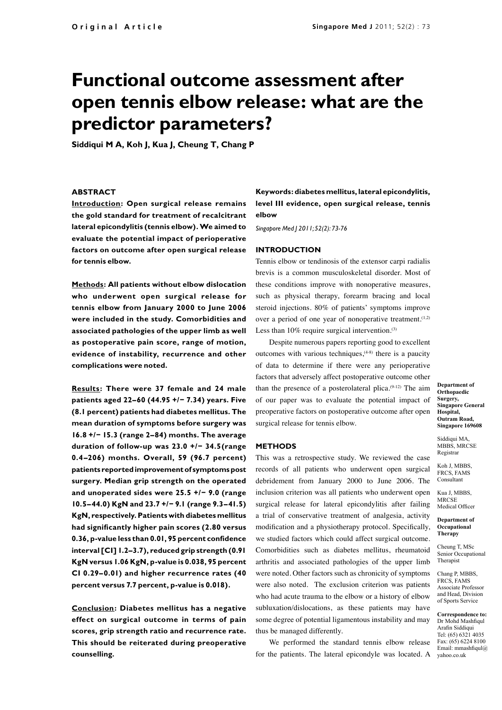# **Functional outcome assessment after open tennis elbow release: what are the predictor parameters?**

**Siddiqui M A, Koh J, Kua J, Cheung T, Chang P**

# **ABSTRACT**

**Introduction: Open surgical release remains the gold standard for treatment of recalcitrant lateral epicondylitis (tennis elbow). We aimed to evaluate the potential impact of perioperative factors on outcome after open surgical release for tennis elbow.**

**Methods: All patients without elbow dislocation who underwent open surgical release for tennis elbow from January 2000 to June 2006 were included in the study. Comorbidities and associated pathologies of the upper limb as well as postoperative pain score, range of motion, evidence of instability, recurrence and other complications were noted.**

**Results: There were 37 female and 24 male patients aged 22–60 (44.95 +/− 7.34) years. Five (8.1 percent) patients had diabetes mellitus. The mean duration of symptoms before surgery was 16.8 +/− 15.3 (range 2–84) months. The average duration of follow-up was 23.0 +/− 34.5(range 0.4–206) months. Overall, 59 (96.7 percent) patients reported improvement of symptoms post surgery. Median grip strength on the operated and unoperated sides were 25.5 +/− 9.0 (range 10.5–44.0) KgN and 23.7 +/− 9.1 (range 9.3–41.5) KgN, respectively. Patients with diabetes mellitus had significantly higher pain scores (2.80 versus 0.36, p-value less than 0.01, 95 percent confidence interval [CI] 1.2–3.7), reduced grip strength (0.91 KgN versus 1.06 KgN, p-value is 0.038, 95 percent CI 0.29–0.01) and higher recurrence rates (40 percent versus 7.7 percent, p-value is 0.018).**

**Conclusion: Diabetes mellitus has a negative effect on surgical outcome in terms of pain scores, grip strength ratio and recurrence rate. This should be reiterated during preoperative counselling.** 

**Keywords: diabetes mellitus, lateral epicondylitis, level III evidence, open surgical release, tennis elbow**

*Singapore Med J 2011; 52(2): 73-76*

#### **INTRODUCTION**

Tennis elbow or tendinosis of the extensor carpi radialis brevis is a common musculoskeletal disorder. Most of these conditions improve with nonoperative measures, such as physical therapy, forearm bracing and local steroid injections. 80% of patients' symptoms improve over a period of one year of nonoperative treatment.<sup>(1,2)</sup> Less than  $10\%$  require surgical intervention.<sup>(3)</sup>

Despite numerous papers reporting good to excellent outcomes with various techniques, $(4-8)$  there is a paucity of data to determine if there were any perioperative factors that adversely affect postoperative outcome other than the presence of a posterolateral plica. $(9-12)$  The aim of our paper was to evaluate the potential impact of preoperative factors on postoperative outcome after open surgical release for tennis elbow.

## **METHODS**

This was a retrospective study. We reviewed the case records of all patients who underwent open surgical debridement from January 2000 to June 2006. The inclusion criterion was all patients who underwent open surgical release for lateral epicondylitis after failing a trial of conservative treatment of analgesia, activity modification and a physiotherapy protocol. Specifically, we studied factors which could affect surgical outcome. Comorbidities such as diabetes mellitus, rheumatoid arthritis and associated pathologies of the upper limb were noted. Other factors such as chronicity of symptoms were also noted. The exclusion criterion was patients who had acute trauma to the elbow or a history of elbow subluxation/dislocations, as these patients may have some degree of potential ligamentous instability and may thus be managed differently.

We performed the standard tennis elbow release for the patients. The lateral epicondyle was located. A

**Department of Orthopaedic Surgery, Singapore General Hospital, Outram Road, Singapore 169608**

Siddiqui MA, MBBS, MRCSE Registrar

Koh J, MBBS, FRCS, FAMS Consultant

Kua J, MBBS, MRCSE Medical Officer

**Department of Occupational Therapy**

Cheung T, MSc Senior Occupational Therapist

Chang P, MBBS, FRCS, FAMS Associate Professor and Head, Division of Sports Service

**Correspondence to:**  Dr Mohd Mashfiqul Arafin Siddiqui Tel: (65) 6321 4035 Fax: (65) 6224 8100 Email: mmashfiqul@ yahoo.co.uk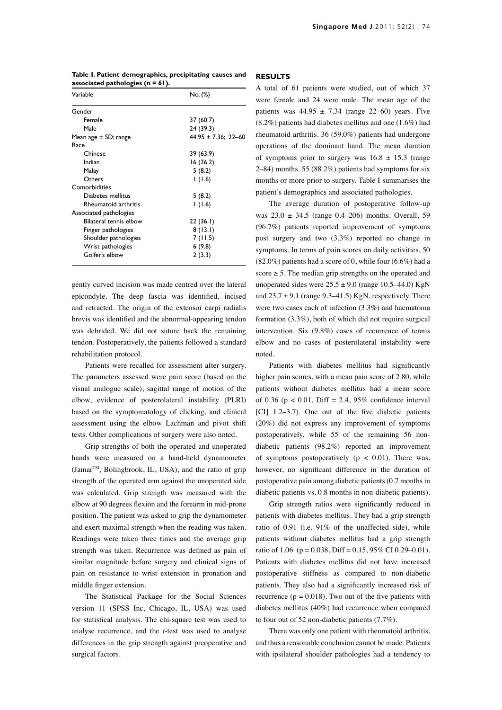| Variable               | No. (%)                  |  |
|------------------------|--------------------------|--|
| Gender                 |                          |  |
| Female                 | 37 (60.7)                |  |
| Male                   | 24 (39.3)                |  |
| Mean age ± SD; range   | $44.95 \pm 7.36$ ; 22-60 |  |
| Race                   |                          |  |
| Chinese                | 39 (63.9)                |  |
| Indian                 | 16 (26.2)                |  |
| Malay                  | 5(8.2)                   |  |
| Others                 | 1(1.6)                   |  |
| Comorbidities          |                          |  |
| Diabetes mellitus      | 5(8.2)                   |  |
| Rheumatoid arthritis   | 1(1.6)                   |  |
| Associated pathologies |                          |  |
| Bilateral tennis elbow | 22(36.1)                 |  |
| Finger pathologies     | 8(13.1)                  |  |
| Shoulder pathologies   | 7(11.5)                  |  |
| Wrist pathologies      | 6(9.8)                   |  |
| Golfer's elbow         | 2(3.3)                   |  |
|                        |                          |  |

**Table I. Patient demographics, precipitating causes and associated pathologies (n = 61).**

gently curved incision was made centred over the lateral epicondyle. The deep fascia was identified, incised and retracted. The origin of the extensor carpi radialis brevis was identified and the abnormal-appearing tendon was debrided. We did not suture back the remaining tendon. Postoperatively, the patients followed a standard rehabilitation protocol.

Patients were recalled for assessment after surgery. The parameters assessed were pain score (based on the visual analogue scale), sagittal range of motion of the elbow, evidence of posterolateral instability (PLRI) based on the symptomatology of clicking, and clinical assessment using the elbow Lachman and pivot shift tests. Other complications of surgery were also noted.

Grip strengths of both the operated and unoperated hands were measured on a hand-held dynamometer (JamarTM, Bolingbrook, IL, USA), and the ratio of grip strength of the operated arm against the unoperated side was calculated. Grip strength was measured with the elbow at 90 degrees flexion and the forearm in mid-prone position. The patient was asked to grip the dynamometer and exert maximal strength when the reading was taken. Readings were taken three times and the average grip strength was taken. Recurrence was defined as pain of similar magnitude before surgery and clinical signs of pain on resistance to wrist extension in pronation and middle finger extension.

The Statistical Package for the Social Sciences version 11 (SPSS Inc, Chicago, IL, USA) was used for statistical analysis. The chi-square test was used to analyse recurrence, and the *t*-test was used to analyse differences in the grip strength against preoperative and surgical factors.

### **RESULTS**

A total of 61 patients were studied, out of which 37 were female and 24 were male. The mean age of the patients was  $44.95 \pm 7.34$  (range 22–60) years. Five (8.2%) patients had diabetes mellitus and one (1.6%) had rheumatoid arthritis. 36 (59.0%) patients had undergone operations of the dominant hand. The mean duration of symptoms prior to surgery was  $16.8 \pm 15.3$  (range 2–84) months. 55 (88.2%) patients had symptoms for six months or more prior to surgery. Table I summarises the patient's demographics and associated pathologies.

The average duration of postoperative follow-up was  $23.0 \pm 34.5$  (range 0.4–206) months. Overall, 59 (96.7%) patients reported improvement of symptoms post surgery and two (3.3%) reported no change in symptoms. In terms of pain scores on daily activities, 50  $(82.0\%)$  patients had a score of 0, while four  $(6.6\%)$  had a score  $\geq 5$ . The median grip strengths on the operated and unoperated sides were  $25.5 \pm 9.0$  (range 10.5–44.0) KgN and  $23.7 \pm 9.1$  (range 9.3–41.5) KgN, respectively. There were two cases each of infection (3.3%) and haematoma formation (3.3%), both of which did not require surgical intervention. Six (9.8%) cases of recurrence of tennis elbow and no cases of posterolateral instability were noted.

Patients with diabetes mellitus had significantly higher pain scores, with a mean pain score of 2.80, while patients without diabetes mellitus had a mean score of 0.36 ( $p < 0.01$ , Diff = 2.4, 95% confidence interval [CI] 1.2–3.7). One out of the five diabetic patients (20%) did not express any improvement of symptoms postoperatively, while 55 of the remaining 56 nondiabetic patients (98.2%) reported an improvement of symptoms postoperatively ( $p < 0.01$ ). There was, however, no significant difference in the duration of postoperative pain among diabetic patients (0.7 months in diabetic patients vs. 0.8 months in non-diabetic patients).

Grip strength ratios were significantly reduced in patients with diabetes mellitus. They had a grip strength ratio of 0.91 (i.e. 91% of the unaffected side), while patients without diabetes mellitus had a grip strength ratio of 1.06 ( $p = 0.038$ , Diff = 0.15, 95% CI 0.29–0.01). Patients with diabetes mellitus did not have increased postoperative stiffness as compared to non-diabetic patients. They also had a significantly increased risk of recurrence ( $p = 0.018$ ). Two out of the five patients with diabetes mellitus (40%) had recurrence when compared to four out of 52 non-diabetic patients (7.7%).

There was only one patient with rheumatoid arthritis, and thus a reasonable conclusion cannot be made. Patients with ipsilateral shoulder pathologies had a tendency to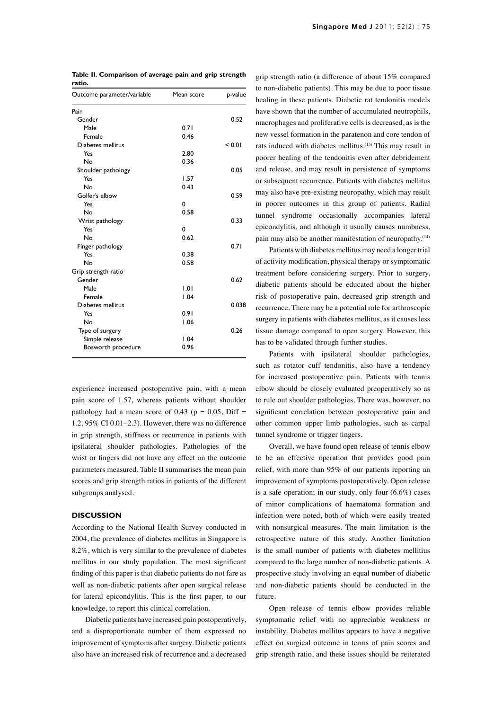| Outcome parameter/variable | Mean score | p-value |
|----------------------------|------------|---------|
| Pain                       |            |         |
| Gender                     |            | 0.52    |
| Male                       | 0.71       |         |
| Female                     | 0.46       |         |
| Diabetes mellitus          |            | < 0.01  |
| Yes                        | 2.80       |         |
| No                         | 0.36       |         |
| Shoulder pathology         |            | 0.05    |
| Yes                        | 1.57       |         |
| No                         | 0.43       |         |
| Golfer's elbow             |            | 0.59    |
| Yes                        | 0          |         |
| No                         | 0.58       |         |
| Wrist pathology            |            | 0.33    |
| Yes                        | 0          |         |
| No                         | 0.62       |         |
| Finger pathology           |            | 0.71    |
| Yes                        | 0.38       |         |
| No                         | 0.58       |         |
| Grip strength ratio        |            |         |
| Gender                     |            | 0.62    |
| Male                       | 1.01       |         |
| Female                     | 1.04       |         |
| Diabetes mellitus          |            | 0.038   |
| Yes                        | 0.91       |         |
| No                         | 1.06       |         |
| Type of surgery            |            | 0.26    |
| Simple release             | 1.04       |         |
| Bosworth procedure         | 0.96       |         |
|                            |            |         |

**Table II. Comparison of average pain and grip strength ratio.** 

experience increased postoperative pain, with a mean pain score of 1.57, whereas patients without shoulder pathology had a mean score of 0.43 ( $p = 0.05$ , Diff = 1.2, 95% CI 0.01–2.3). However, there was no difference in grip strength, stiffness or recurrence in patients with ipsilateral shoulder pathologies. Pathologies of the wrist or fingers did not have any effect on the outcome parameters measured. Table II summarises the mean pain scores and grip strength ratios in patients of the different subgroups analysed.

#### **DISCUSSION**

According to the National Health Survey conducted in 2004, the prevalence of diabetes mellitus in Singapore is 8.2%, which is very similar to the prevalence of diabetes mellitus in our study population. The most significant finding of this paper is that diabetic patients do not fare as well as non-diabetic patients after open surgical release for lateral epicondylitis. This is the first paper, to our knowledge, to report this clinical correlation.

Diabetic patients have increased pain postoperatively, and a disproportionate number of them expressed no improvement of symptoms after surgery. Diabetic patients also have an increased risk of recurrence and a decreased

grip strength ratio (a difference of about 15% compared to non-diabetic patients). This may be due to poor tissue healing in these patients. Diabetic rat tendonitis models have shown that the number of accumulated neutrophils, macrophages and proliferative cells is decreased, as is the new vessel formation in the paratenon and core tendon of rats induced with diabetes mellitus.(13) This may result in poorer healing of the tendonitis even after debridement and release, and may result in persistence of symptoms or subsequent recurrence. Patients with diabetes mellitus may also have pre-existing neuropathy, which may result in poorer outcomes in this group of patients. Radial tunnel syndrome occasionally accompanies lateral epicondylitis, and although it usually causes numbness, pain may also be another manifestation of neuropathy.<sup>(14)</sup>

Patients with diabetes mellitus may need a longer trial of activity modification, physical therapy or symptomatic treatment before considering surgery. Prior to surgery, diabetic patients should be educated about the higher risk of postoperative pain, decreased grip strength and recurrence. There may be a potential role for arthroscopic surgery in patients with diabetes mellitus, as it causes less tissue damage compared to open surgery. However, this has to be validated through further studies.

Patients with ipsilateral shoulder pathologies, such as rotator cuff tendonitis, also have a tendency for increased postoperative pain. Patients with tennis elbow should be closely evaluated preoperatively so as to rule out shoulder pathologies. There was, however, no significant correlation between postoperative pain and other common upper limb pathologies, such as carpal tunnel syndrome or trigger fingers.

Overall, we have found open release of tennis elbow to be an effective operation that provides good pain relief, with more than 95% of our patients reporting an improvement of symptoms postoperatively. Open release is a safe operation; in our study, only four (6.6%) cases of minor complications of haematoma formation and infection were noted, both of which were easily treated with nonsurgical measures. The main limitation is the retrospective nature of this study. Another limitation is the small number of patients with diabetes mellitius compared to the large number of non-diabetic patients. A prospective study involving an equal number of diabetic and non-diabetic patients should be conducted in the future.

Open release of tennis elbow provides reliable symptomatic relief with no appreciable weakness or instability. Diabetes mellitus appears to have a negative effect on surgical outcome in terms of pain scores and grip strength ratio, and these issues should be reiterated